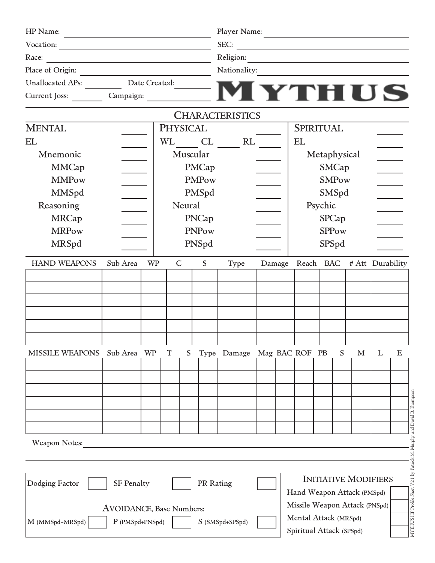| HP Name:                |                                                                                                                       |               |                 |              |                | Player Name:           |                                                   |        | <u> 1989 - Johann John Stein, mars an t-Amerikaansk kommunister (</u> |                  |              |                             |                   |                       |  |
|-------------------------|-----------------------------------------------------------------------------------------------------------------------|---------------|-----------------|--------------|----------------|------------------------|---------------------------------------------------|--------|-----------------------------------------------------------------------|------------------|--------------|-----------------------------|-------------------|-----------------------|--|
| Vocation:               | <u> 1989 - Johann Barn, mars ann an t-Amhain an t-Amhain an t-Amhain an t-Amhain an t-Amhain an t-Amhain an t-Amh</u> |               |                 |              |                | SEC:<br>Religion:      |                                                   |        |                                                                       |                  |              |                             |                   |                       |  |
| Race:                   |                                                                                                                       |               |                 |              |                |                        |                                                   |        |                                                                       |                  |              |                             |                   |                       |  |
| Place of Origin:        |                                                                                                                       |               |                 |              |                | Nationality:           |                                                   |        |                                                                       |                  |              |                             |                   |                       |  |
| <b>Unallocated APs:</b> |                                                                                                                       | Date Created: |                 |              |                |                        |                                                   |        |                                                                       |                  |              |                             |                   |                       |  |
| Current Joss:           | Campaign:                                                                                                             |               |                 |              |                |                        |                                                   |        |                                                                       | $\equiv$ M YTHUS |              |                             |                   |                       |  |
|                         |                                                                                                                       |               |                 |              |                | <b>CHARACTERISTICS</b> |                                                   |        |                                                                       |                  |              |                             |                   |                       |  |
| <b>MENTAL</b>           |                                                                                                                       |               | <b>PHYSICAL</b> |              |                |                        |                                                   |        | <b>SPIRITUAL</b>                                                      |                  |              |                             |                   |                       |  |
| EL                      |                                                                                                                       |               | <b>WL</b>       |              | CL             | RL                     |                                                   |        | EL                                                                    |                  |              |                             |                   |                       |  |
| Mnemonic                |                                                                                                                       |               |                 | Muscular     |                |                        |                                                   |        |                                                                       | Metaphysical     |              |                             |                   |                       |  |
| <b>MMCap</b>            |                                                                                                                       |               |                 |              | PMCap          |                        |                                                   |        |                                                                       |                  | <b>SMCap</b> |                             |                   |                       |  |
| <b>MMPow</b>            |                                                                                                                       |               |                 |              | <b>PMPow</b>   |                        |                                                   |        |                                                                       |                  | <b>SMPow</b> |                             |                   |                       |  |
| <b>MMSpd</b>            |                                                                                                                       |               |                 |              | PMSpd          |                        |                                                   |        |                                                                       |                  | SMSpd        |                             |                   |                       |  |
| Reasoning               |                                                                                                                       |               |                 | Neural       |                |                        |                                                   |        |                                                                       | Psychic          |              |                             |                   |                       |  |
| <b>MRCap</b>            |                                                                                                                       |               |                 |              | PNCap          |                        |                                                   |        |                                                                       |                  | <b>SPCap</b> |                             |                   |                       |  |
| <b>MRPow</b>            |                                                                                                                       |               |                 |              | PNPow          |                        |                                                   |        |                                                                       |                  | <b>SPPow</b> |                             |                   |                       |  |
| <b>MRSpd</b>            |                                                                                                                       |               |                 |              | PNSpd          |                        |                                                   |        |                                                                       |                  | SPSpd        |                             |                   |                       |  |
| <b>HAND WEAPONS</b>     | Sub Area                                                                                                              | <b>WP</b>     |                 | $\mathsf{C}$ | ${\mathcal S}$ | Type                   |                                                   | Damage | Reach BAC                                                             |                  |              | # Att Durability            |                   |                       |  |
|                         |                                                                                                                       |               |                 |              |                |                        |                                                   |        |                                                                       |                  |              |                             |                   |                       |  |
|                         |                                                                                                                       |               |                 |              |                |                        |                                                   |        |                                                                       |                  |              |                             |                   |                       |  |
|                         |                                                                                                                       |               |                 |              |                |                        |                                                   |        |                                                                       |                  |              |                             |                   |                       |  |
|                         |                                                                                                                       |               |                 |              |                |                        |                                                   |        |                                                                       |                  |              |                             |                   |                       |  |
|                         |                                                                                                                       |               |                 |              |                |                        |                                                   |        |                                                                       |                  |              |                             |                   |                       |  |
|                         |                                                                                                                       |               |                 |              |                |                        |                                                   |        |                                                                       |                  |              |                             |                   |                       |  |
| <b>MISSILE WEAPONS</b>  | Sub Area                                                                                                              | <b>WP</b>     | $\mathbf T$     | S            |                | Type Damage            |                                                   |        | Mag BAC ROF                                                           | PB               | S            | M                           | L                 | E                     |  |
|                         |                                                                                                                       |               |                 |              |                |                        |                                                   |        |                                                                       |                  |              |                             |                   |                       |  |
|                         |                                                                                                                       |               |                 |              |                |                        |                                                   |        |                                                                       |                  |              |                             |                   |                       |  |
|                         |                                                                                                                       |               |                 |              |                |                        |                                                   |        |                                                                       |                  |              |                             |                   |                       |  |
|                         |                                                                                                                       |               |                 |              |                |                        |                                                   |        |                                                                       |                  |              |                             |                   |                       |  |
|                         |                                                                                                                       |               |                 |              |                |                        |                                                   |        |                                                                       |                  |              |                             |                   | and David B. Thompson |  |
| <b>Weapon Notes:</b>    |                                                                                                                       |               |                 |              |                |                        |                                                   |        |                                                                       |                  |              |                             |                   |                       |  |
|                         |                                                                                                                       |               |                 |              |                |                        |                                                   |        |                                                                       |                  |              |                             |                   | ×.                    |  |
|                         |                                                                                                                       |               |                 |              |                |                        |                                                   |        |                                                                       |                  |              |                             |                   |                       |  |
| Dodging Factor          | <b>SF Penalty</b>                                                                                                     |               |                 |              | PR Rating      |                        |                                                   |        |                                                                       |                  |              | <b>INITIATIVE MODIFIERS</b> |                   | V2.1                  |  |
|                         |                                                                                                                       |               |                 |              |                |                        |                                                   |        | Hand Weapon Attack (PMSpd)                                            |                  |              |                             |                   | Sheet                 |  |
|                         | <b>AVOIDANCE</b> , Base Numbers:                                                                                      |               |                 |              |                |                        |                                                   |        | Missile Weapon Attack (PNSpd)                                         |                  |              |                             |                   |                       |  |
| M (MMSpd+MRSpd)         | P (PMSpd+PNSpd)                                                                                                       |               |                 |              |                | S (SMSpd+SPSpd)        |                                                   |        |                                                                       |                  |              |                             |                   |                       |  |
|                         |                                                                                                                       |               |                 |              |                |                        | Mental Attack (MRSpd)<br>Spiritual Attack (SPSpd) |        |                                                                       |                  |              |                             | MYTHUS HP Profile |                       |  |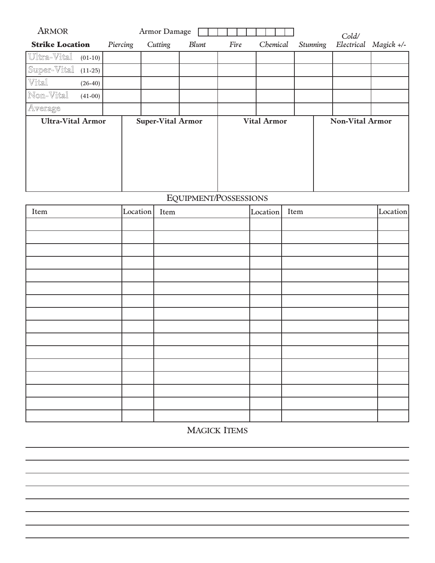| <b>ARMOR</b>             |           |          | Armor Damage             |       |      |                    |                 | Cold/                  |              |
|--------------------------|-----------|----------|--------------------------|-------|------|--------------------|-----------------|------------------------|--------------|
| <b>Strike Location</b>   |           | Piercing | Cutting                  | Blunt | Fire | Chemical           | <b>Stunning</b> | Electrical             | $Magick +/-$ |
| Ultra-Vital              | $(01-10)$ |          |                          |       |      |                    |                 |                        |              |
| Super-Vital              | $(11-25)$ |          |                          |       |      |                    |                 |                        |              |
| Vital                    | $(26-40)$ |          |                          |       |      |                    |                 |                        |              |
| Non-Vital                | $(41-00)$ |          |                          |       |      |                    |                 |                        |              |
| Average                  |           |          |                          |       |      |                    |                 |                        |              |
| <b>Ultra-Vital Armor</b> |           |          | <b>Super-Vital Armor</b> |       |      | <b>Vital Armor</b> |                 | <b>Non-Vital Armor</b> |              |

# EQUIPMENT/POSSESSIONS

| Item | Location Item | Location Item | Location |
|------|---------------|---------------|----------|
|      |               |               |          |
|      |               |               |          |
|      |               |               |          |
|      |               |               |          |
|      |               |               |          |
|      |               |               |          |
|      |               |               |          |
|      |               |               |          |
|      |               |               |          |
|      |               |               |          |
|      |               |               |          |
|      |               |               |          |
|      |               |               |          |
|      |               |               |          |
|      |               |               |          |
|      |               |               |          |

## MAGICK ITEMS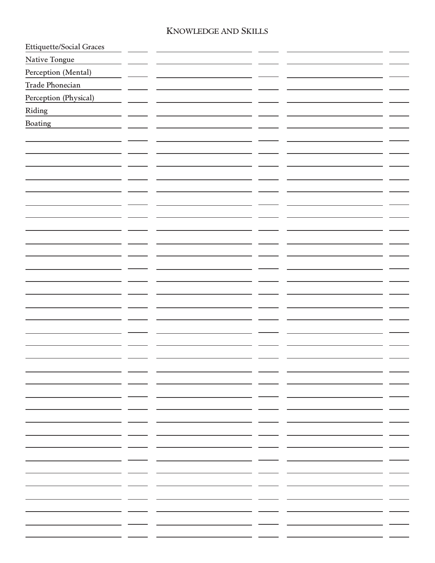#### KNOWLEDGE AND SKILLS

| Ettiquette/Social Graces |                      |     |     |
|--------------------------|----------------------|-----|-----|
| Native Tongue            |                      |     |     |
| Perception (Mental)      |                      |     |     |
| Trade Phonecian          |                      |     |     |
| Perception (Physical)    |                      |     |     |
| Riding                   |                      |     |     |
| Boating                  |                      |     |     |
|                          |                      |     |     |
|                          |                      |     |     |
|                          |                      |     |     |
|                          |                      |     |     |
|                          |                      |     |     |
|                          |                      |     |     |
|                          |                      |     |     |
|                          |                      |     |     |
|                          |                      |     |     |
|                          |                      |     |     |
|                          |                      |     |     |
|                          |                      |     |     |
|                          |                      |     |     |
|                          |                      |     |     |
|                          |                      |     |     |
|                          |                      |     |     |
|                          |                      |     |     |
|                          |                      |     |     |
|                          |                      |     |     |
|                          | - -                  | - - |     |
|                          |                      |     |     |
|                          | _ _                  | _ _ |     |
|                          | - -                  | - - |     |
|                          | - -                  |     |     |
|                          | - -                  | . . | . . |
|                          | — ——— -              | - - |     |
|                          | . <del>.</del> .     | . — |     |
|                          | - -                  | - - |     |
|                          | — <del>— — —</del> — | - - |     |
|                          | - -                  | . . |     |
|                          | - -                  |     |     |
|                          |                      |     |     |
|                          |                      |     |     |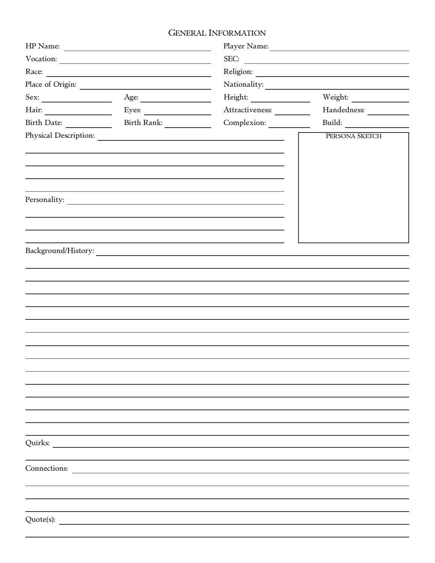### GENERAL INFORMATION

|      | Place of Origin:      | Nationality:               | <u> 1980 - Jan Barnett, fransk politik (d. 1980)</u> |
|------|-----------------------|----------------------------|------------------------------------------------------|
| Sex: | Age:                  |                            | Weight:                                              |
|      | Eyes: $\qquad \qquad$ | Attractiveness: __________ | Handedness:                                          |
|      | Birth Rank:           | Complexion:                |                                                      |
|      |                       |                            | PERSONA SKETCH                                       |
|      |                       |                            |                                                      |
|      |                       |                            |                                                      |
|      |                       |                            |                                                      |
|      |                       |                            |                                                      |
|      |                       |                            |                                                      |
|      |                       |                            |                                                      |
|      |                       |                            |                                                      |
|      |                       |                            |                                                      |
|      |                       |                            |                                                      |
|      |                       |                            |                                                      |
|      |                       |                            |                                                      |
|      |                       |                            |                                                      |
|      |                       |                            |                                                      |
|      |                       |                            |                                                      |
|      |                       |                            |                                                      |
|      |                       |                            |                                                      |
|      |                       |                            |                                                      |
|      |                       |                            |                                                      |
|      |                       |                            |                                                      |
|      |                       |                            |                                                      |
|      |                       |                            |                                                      |
|      |                       |                            |                                                      |
|      |                       |                            |                                                      |
|      |                       |                            |                                                      |
|      |                       |                            |                                                      |
|      |                       |                            |                                                      |
|      | Connections:          |                            |                                                      |
|      |                       |                            |                                                      |
|      |                       |                            |                                                      |
|      |                       |                            |                                                      |
|      |                       |                            |                                                      |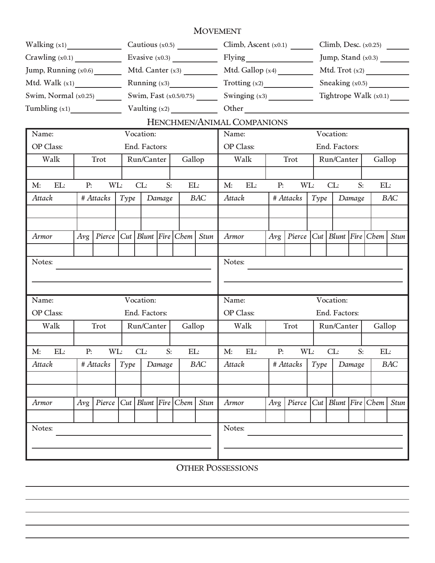#### MOVEMENT

|                               |     |           |      |                   |        |        | Cautious $(x0.5)$               |                  | Climb, Ascent $(x0.1)$     |     |           |      |                   |        | Climb, Desc. $(x0.25)$           |             |
|-------------------------------|-----|-----------|------|-------------------|--------|--------|---------------------------------|------------------|----------------------------|-----|-----------|------|-------------------|--------|----------------------------------|-------------|
| Crawling (x0.1)               |     |           |      |                   |        |        |                                 |                  |                            |     |           |      |                   |        | Jump, Stand (x0.3)               |             |
| Jump, Running (x0.6) ________ |     |           |      |                   |        |        |                                 |                  | Mtd. Gallop (x4)           |     |           |      |                   |        | Mtd. $\text{Trot}(\mathbf{x}^2)$ |             |
| Mtd. Walk $(x1)$              |     |           |      |                   |        |        | Running $(x3)$                  |                  | Trotting (x2)              |     |           |      | Sneaking $(x0.5)$ |        |                                  |             |
| Swim, Normal $(x0.25)$        |     |           |      |                   |        |        | Swim, Fast (x0.5/0.75) ________ |                  |                            |     |           |      |                   |        | Tightrope Walk $(x0.1)$          |             |
| Tumbling $(x1)$               |     |           |      |                   |        |        |                                 |                  | Other                      |     |           |      |                   |        |                                  |             |
|                               |     |           |      |                   |        |        |                                 |                  | HENCHMEN/ANIMAL COMPANIONS |     |           |      |                   |        |                                  |             |
| Name:                         |     |           |      | Vocation:         |        |        |                                 | Name:            |                            |     |           |      | Vocation:         |        |                                  |             |
| <b>OP</b> Class:              |     |           |      | End. Factors:     |        |        |                                 | <b>OP</b> Class: |                            |     |           |      | End. Factors:     |        |                                  |             |
| Walk                          |     | Trot      |      | Run/Canter        |        | Gallop |                                 |                  | Walk                       |     | Trot      |      | Run/Canter        |        | Gallop                           |             |
|                               |     |           |      |                   |        |        |                                 |                  |                            |     |           |      |                   |        |                                  |             |
| EL:<br>M:                     | P:  | WL:       |      | CL:               | S:     | EL:    |                                 | M:               | EL:                        | P:  | WL:       |      | CL:               | S:     | EL:                              |             |
| Attack                        |     | # Attacks | Type |                   | Damage |        | <b>BAC</b>                      | Attack           |                            |     | # Attacks | Type |                   | Damage |                                  | BAC         |
|                               |     |           |      |                   |        |        |                                 |                  |                            |     |           |      |                   |        |                                  |             |
|                               |     |           |      |                   |        |        |                                 |                  |                            |     |           |      |                   |        |                                  |             |
| Armor                         | Avg | Pierce    | Cut  | Blunt Fire Chem   |        |        | <b>Stun</b>                     | Armor            |                            | Avg | Pierce    | Cut  | Blunt Fire Chem   |        |                                  | <b>Stun</b> |
|                               |     |           |      |                   |        |        |                                 |                  |                            |     |           |      |                   |        |                                  |             |
| Notes:                        |     |           |      |                   |        |        |                                 | Notes:           |                            |     |           |      |                   |        |                                  |             |
|                               |     |           |      |                   |        |        |                                 |                  |                            |     |           |      |                   |        |                                  |             |
|                               |     |           |      |                   |        |        |                                 |                  |                            |     |           |      |                   |        |                                  |             |
| Name:                         |     |           |      | Vocation:         |        |        |                                 | Name:            |                            |     |           |      | Vocation:         |        |                                  |             |
| <b>OP</b> Class:              |     |           |      | End. Factors:     |        |        |                                 | OP Class:        |                            |     |           |      | End. Factors:     |        |                                  |             |
| Walk                          |     | Trot      |      | Run/Canter        |        | Gallop |                                 |                  | Walk                       |     | Trot      |      | Run/Canter        |        | Gallop                           |             |
|                               |     |           |      |                   |        |        |                                 |                  |                            |     |           |      |                   |        |                                  |             |
| EL:<br>M:                     | P:  | WL:       |      | CL:               | S:     | EL:    |                                 | M:               | EL:                        | P:  | WL:       |      | CL:               | S:     | EL:                              |             |
| Attack                        |     | # Attacks | Type |                   | Damage |        | <b>BAC</b>                      | Attack           |                            |     | # Attacks | Type |                   | Damage |                                  | BAC         |
|                               |     |           |      |                   |        |        |                                 |                  |                            |     |           |      |                   |        |                                  |             |
|                               |     |           |      |                   |        |        |                                 |                  |                            |     |           |      |                   |        |                                  |             |
| Armor                         | Avg | Pierce    | Cut  | $Blunt$ Fire Chem |        |        | <b>Stun</b>                     | Armor            |                            | Avg | Pierce    | Cut  | Blunt Fire Chem   |        |                                  | <b>Stun</b> |
|                               |     |           |      |                   |        |        |                                 |                  |                            |     |           |      |                   |        |                                  |             |
| Notes:                        |     |           |      |                   |        |        |                                 | Notes:           |                            |     |           |      |                   |        |                                  |             |
|                               |     |           |      |                   |        |        |                                 |                  |                            |     |           |      |                   |        |                                  |             |
|                               |     |           |      |                   |        |        |                                 |                  |                            |     |           |      |                   |        |                                  |             |

OTHER POSSESSIONS